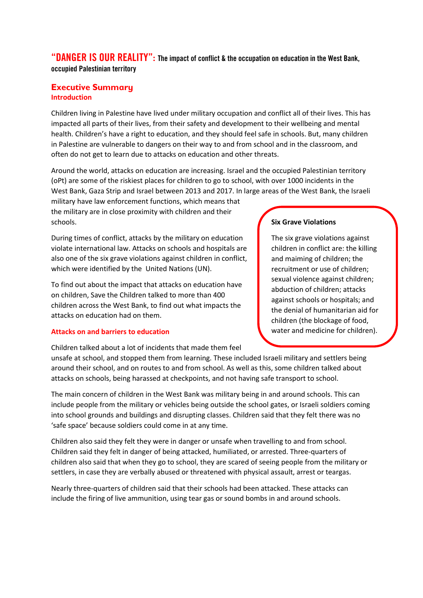"DANGER IS OUR REALITY": The impact of conflict & the occupation on education in the West Bank, occupied Palestinian territory

## **Executive Summary Introduction**

Children living in Palestine have lived under military occupation and conflict all of their lives. This has impacted all parts of their lives, from their safety and development to their wellbeing and mental health. Children's have a right to education, and they should feel safe in schools. But, many children in Palestine are vulnerable to dangers on their way to and from school and in the classroom, and often do not get to learn due to attacks on education and other threats.

Around the world, attacks on education are increasing. Israel and the occupied Palestinian territory (oPt) are some of the riskiest places for children to go to school, with over 1000 incidents in the West Bank, Gaza Strip and Israel between 2013 and 2017. In large areas of the West Bank, the Israeli

military have law enforcement functions, which means that the military are in close proximity with children and their schools.

During times of conflict, attacks by the military on education violate international law. Attacks on schools and hospitals are also one of the six grave violations against children in conflict, which were identified by the United Nations (UN).

To find out about the impact that attacks on education have on children, Save the Children talked to more than 400 children across the West Bank, to find out what impacts the attacks on education had on them.

### **Attacks on and barriers to education**

Children talked about a lot of incidents that made them feel

# **Six Grave Violations**

The six grave violations against children in conflict are: the killing and maiming of children; the recruitment or use of children; sexual violence against children; abduction of children; attacks against schools or hospitals; and the denial of humanitarian aid for children (the blockage of food, water and medicine for children).

unsafe at school, and stopped them from learning. These included Israeli military and settlers being around their school, and on routes to and from school. As well as this, some children talked about attacks on schools, being harassed at checkpoints, and not having safe transport to school.

The main concern of children in the West Bank was military being in and around schools. This can include people from the military or vehicles being outside the school gates, or Israeli soldiers coming into school grounds and buildings and disrupting classes. Children said that they felt there was no 'safe space' because soldiers could come in at any time.

Children also said they felt they were in danger or unsafe when travelling to and from school. Children said they felt in danger of being attacked, humiliated, or arrested. Three-quarters of children also said that when they go to school, they are scared of seeing people from the military or settlers, in case they are verbally abused or threatened with physical assault, arrest or teargas.

Nearly three-quarters of children said that their schools had been attacked. These attacks can include the firing of live ammunition, using tear gas or sound bombs in and around schools.